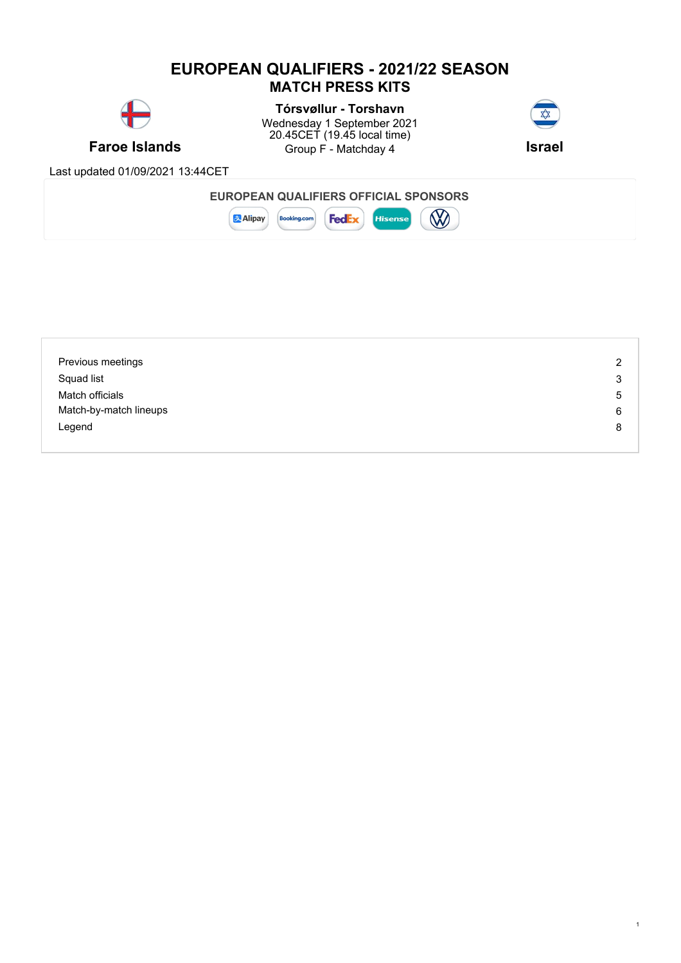### **EUROPEAN QUALIFIERS - 2021/22 SEASON MATCH PRESS KITS**



**Faroe Islands Croup F** - Matchday 4 **Israel Tórsvøllur - Torshavn** Wednesday 1 September 2021 20.45CET (19.45 local time)



1

Last updated 01/09/2021 13:44CET



| Previous meetings      | 2 |
|------------------------|---|
| Squad list             | 3 |
| Match officials        | 5 |
| Match-by-match lineups | 6 |
| Legend                 | 8 |
|                        |   |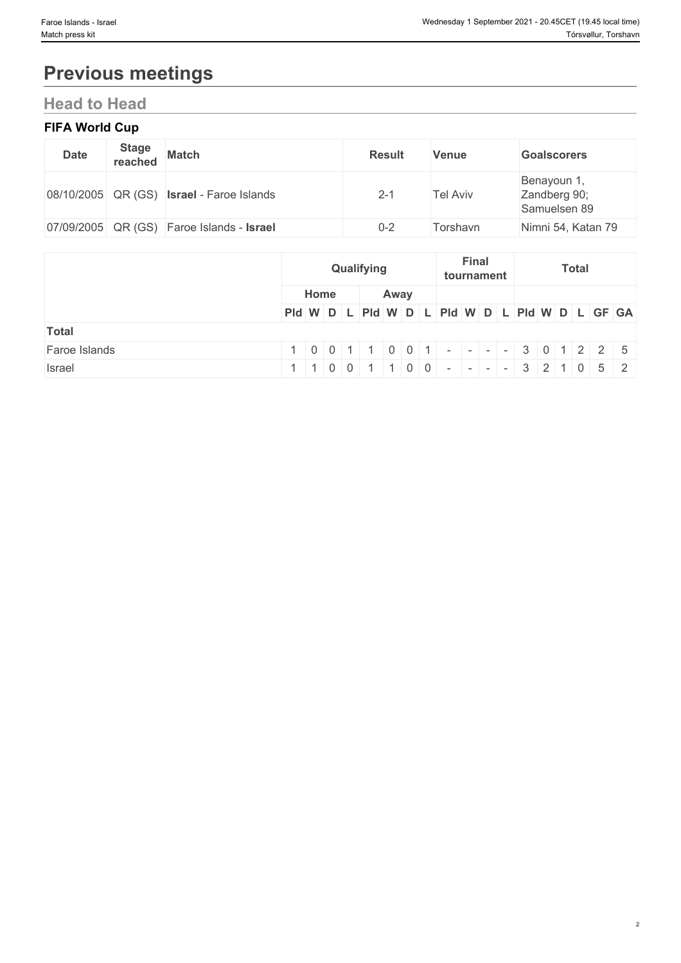# **Previous meetings**

## **Head to Head**

### **FIFA World Cup**

| <b>Date</b> | <b>Stage</b><br>reached | <b>Match</b>                                     | <b>Result</b> | <b>Venue</b> | <b>Goalscorers</b>                          |
|-------------|-------------------------|--------------------------------------------------|---------------|--------------|---------------------------------------------|
|             |                         | 08/10/2005 QR (GS) <b>Israel</b> - Faroe Islands | $2 - 1$       | Tel Aviv     | Benayoun 1,<br>Zandberg 90;<br>Samuelsen 89 |
|             |                         | 07/09/2005 QR (GS) Faroe Islands - Israel        | $0 - 2$       | Torshavn     | Nimni 54, Katan 79                          |

|               | Qualifying     |      | <b>Final</b><br>tournament | <b>Total</b>                                                        |  |  |  |  |  |
|---------------|----------------|------|----------------------------|---------------------------------------------------------------------|--|--|--|--|--|
|               | Home           | Away |                            |                                                                     |  |  |  |  |  |
|               |                |      |                            | PId W D L PId W D L PId W D L PId W D L GF GA                       |  |  |  |  |  |
| <b>Total</b>  |                |      |                            |                                                                     |  |  |  |  |  |
| Faroe Islands |                |      |                            | $1   0   0   1   1   0   0   1   -   -   -   3   0   1   2   2   5$ |  |  |  |  |  |
| Israel        | $\blacksquare$ |      |                            | $ 0 0 1 1 0 0  -  -  -  - 3 2 1 0 5 2$                              |  |  |  |  |  |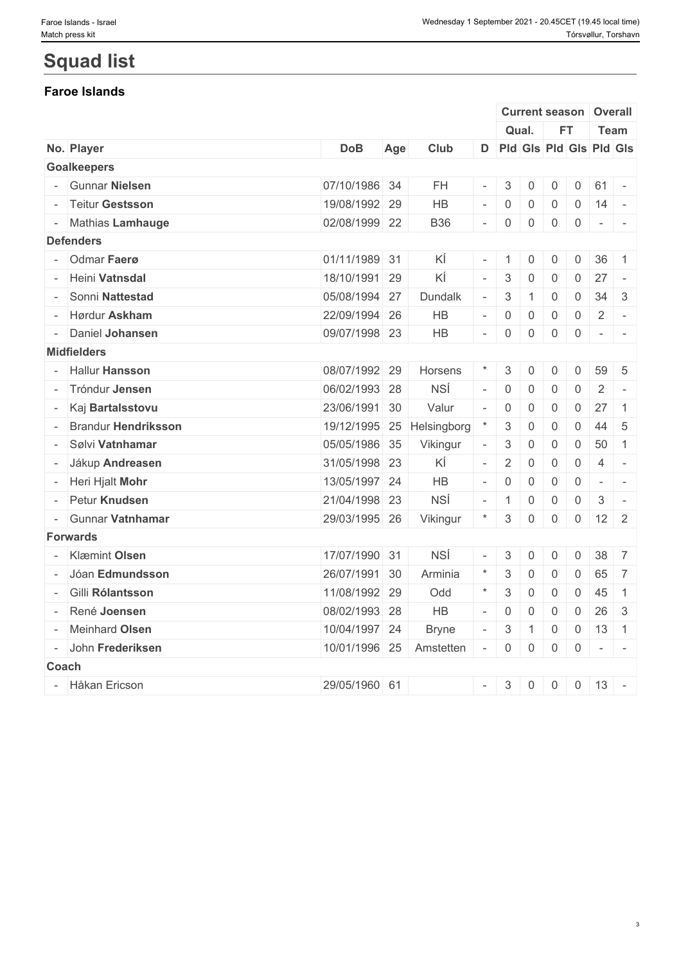# **Squad list**

#### **Faroe Islands**

|                       |               |     |              |                          |                                                                                       |                |                |                | <b>Current season Overall</b>                                                               |  |
|-----------------------|---------------|-----|--------------|--------------------------|---------------------------------------------------------------------------------------|----------------|----------------|----------------|---------------------------------------------------------------------------------------------|--|
|                       |               |     |              |                          |                                                                                       | Qual.          | <b>FT</b>      |                | Team                                                                                        |  |
| No. Player            | <b>DoB</b>    | Age | Club         |                          |                                                                                       |                |                |                | D   Pld   Gls   Pld   Gls   Pld   Gls                                                       |  |
| <b>Goalkeepers</b>    |               |     |              |                          |                                                                                       |                |                |                |                                                                                             |  |
| - Gunnar Nielsen      | 07/10/1986 34 |     | <b>FH</b>    |                          | -3                                                                                    | $\mathbf{0}$   | $\overline{0}$ | $\overline{0}$ | $61 -$                                                                                      |  |
| - Teitur Gestsson     | 19/08/1992 29 |     | HB           | $\sim$                   | $\overline{0}$                                                                        | $\overline{0}$ | $\overline{0}$ |                | $0 \mid 14 \mid -$                                                                          |  |
| - Mathias Lamhauge    | 02/08/1999 22 |     | <b>B36</b>   | $\overline{\phantom{a}}$ |                                                                                       | 0              | $\overline{0}$ | $\overline{0}$ | $\sim$ $\sim$ $\sim$                                                                        |  |
| <b>Defenders</b>      |               |     |              |                          |                                                                                       |                |                |                |                                                                                             |  |
| - Odmar Faerø         | 01/11/1989 31 |     | KÍ           |                          | $\blacksquare$ 1                                                                      | $\mathbf{0}$   | $\overline{0}$ | $\overline{0}$ | 36<br>$\overline{1}$                                                                        |  |
| - Heini Vatnsdal      | 18/10/1991 29 |     | ΚÍ           |                          | $\mathbf{3}$                                                                          | $\mathbf 0$    | $\mathbf 0$    | $\overline{0}$ | $27 -$                                                                                      |  |
| - Sonni Nattestad     | 05/08/1994 27 |     | Dundalk      |                          | 3                                                                                     |                | $\mathbf 0$    | $\overline{0}$ | $34 \overline{\smash{\big)}\ 3}$                                                            |  |
| - Hørdur Askham       | 22/09/1994 26 |     | HB           | $\overline{\phantom{a}}$ |                                                                                       | $\mathbf 0$    | $\overline{0}$ | $\overline{0}$ | 2<br>$\sim$                                                                                 |  |
| - Daniel Johansen     | 09/07/1998 23 |     | <b>HB</b>    | $\overline{\phantom{a}}$ | $\overline{0}$                                                                        | $\mathbf 0$    | $\mathbf 0$    | $\overline{0}$ | $\sim$ $ \sim$ $ -$                                                                         |  |
| <b>Midfielders</b>    |               |     |              |                          |                                                                                       |                |                |                |                                                                                             |  |
| - Hallur Hansson      | 08/07/1992 29 |     | Horsens      |                          | 3                                                                                     | $\mathbf{0}$   | $\overline{0}$ | $\overline{0}$ | 59 5                                                                                        |  |
| - Tróndur Jensen      | 06/02/1993 28 |     | <b>NSÍ</b>   | $\overline{\phantom{a}}$ | $\begin{array}{\begin{array}{\small \begin{array}{\small \end{array}}}}\n\end{array}$ | $\mathbf 0$    | $\mathbf 0$    | $\overline{0}$ | $\overline{2}$<br>$\sim$                                                                    |  |
| - Kaj Bartalsstovu    | 23/06/1991 30 |     | Valur        | $\overline{\phantom{a}}$ | $\overline{0}$                                                                        | $\mathsf 0$    | $\mathbf 0$    | $\overline{0}$ | $27 \quad 1$                                                                                |  |
| - Brandur Hendriksson | 19/12/1995 25 |     | Helsingborg  | $\star$                  | $\mathbf{3}$                                                                          | $\mathbf 0$    | 0              | 0              | $44 \quad 5$                                                                                |  |
| - Sølvi Vatnhamar     | 05/05/1986 35 |     | Vikingur     | $\sim$                   | 3                                                                                     | $\mathbf{0}$   | $\overline{0}$ | $\overline{0}$ | 50<br>$\overline{1}$                                                                        |  |
| - Jákup Andreasen     | 31/05/1998 23 |     | ΚÍ           |                          | 2                                                                                     | $\mathbf 0$    | $\overline{0}$ | $\overline{0}$ | $\overline{4}$<br>$\sim$                                                                    |  |
| - Heri Hjalt Mohr     | 13/05/1997 24 |     | HB           |                          | $\overline{0}$                                                                        | $\mathbf 0$    | $\overline{0}$ | $\overline{0}$ | $\sim$<br>$\vert \cdot \vert$                                                               |  |
| - Petur Knudsen       | 21/04/1998 23 |     | <b>NSÍ</b>   | $\overline{\phantom{a}}$ | $\overline{1}$                                                                        | $\mathbf 0$    | $\overline{0}$ | $\overline{0}$ | $\mathbf{3}$<br>$\sim$                                                                      |  |
| - Gunnar Vatnhamar    | 29/03/1995 26 |     | Vikingur     |                          | 3                                                                                     | $\mathbf 0$    | $\overline{0}$ |                | $0 \mid 12 \mid 2$                                                                          |  |
| <b>Forwards</b>       |               |     |              |                          |                                                                                       |                |                |                |                                                                                             |  |
| - Klæmint Olsen       | 17/07/1990 31 |     | <b>NSÍ</b>   |                          | 3                                                                                     | $\Omega$       | $\mathbf{0}$   | $\mathbf{0}$   | $38 \mid 7$                                                                                 |  |
| - Jóan Edmundsson     | 26/07/1991 30 |     | Arminia      |                          | 3                                                                                     | $\Omega$       | 0              | 0              | 65 7                                                                                        |  |
| - Gilli Rólantsson    | 11/08/1992 29 |     | Odd          |                          | 3                                                                                     | $\mathbf 0$    | $\overline{0}$ | $\overline{0}$ | 45<br>$\overline{1}$                                                                        |  |
| - René Joensen        | 08/02/1993 28 |     | HB           | $\overline{\phantom{a}}$ | $\begin{array}{\begin{array}{\small 0} \end{array}}$                                  | $\mathbf 0$    | $\mathbf 0$    | $\overline{0}$ | 26 3                                                                                        |  |
| - Meinhard Olsen      | 10/04/1997 24 |     | <b>Bryne</b> |                          | $\vert$ 3                                                                             | $\overline{1}$ | $\mathbf 0$    |                | $0 \mid 13 \mid 1$                                                                          |  |
| - John Frederiksen    | 10/01/1996 25 |     | Amstetten    | $\sim$                   | $\overline{0}$                                                                        | $\overline{0}$ | $\overline{0}$ | $\overline{0}$ | $\mathcal{L}^{\mathcal{L}}$ and $\mathcal{L}^{\mathcal{L}}$ and $\mathcal{L}^{\mathcal{L}}$ |  |
| Coach                 |               |     |              |                          |                                                                                       |                |                |                |                                                                                             |  |
| - Håkan Ericson       | 29/05/1960 61 |     |              |                          | $- 3$                                                                                 | $\overline{0}$ | $\overline{0}$ |                | $0 \mid 13 \mid -$                                                                          |  |
|                       |               |     |              |                          |                                                                                       |                |                |                |                                                                                             |  |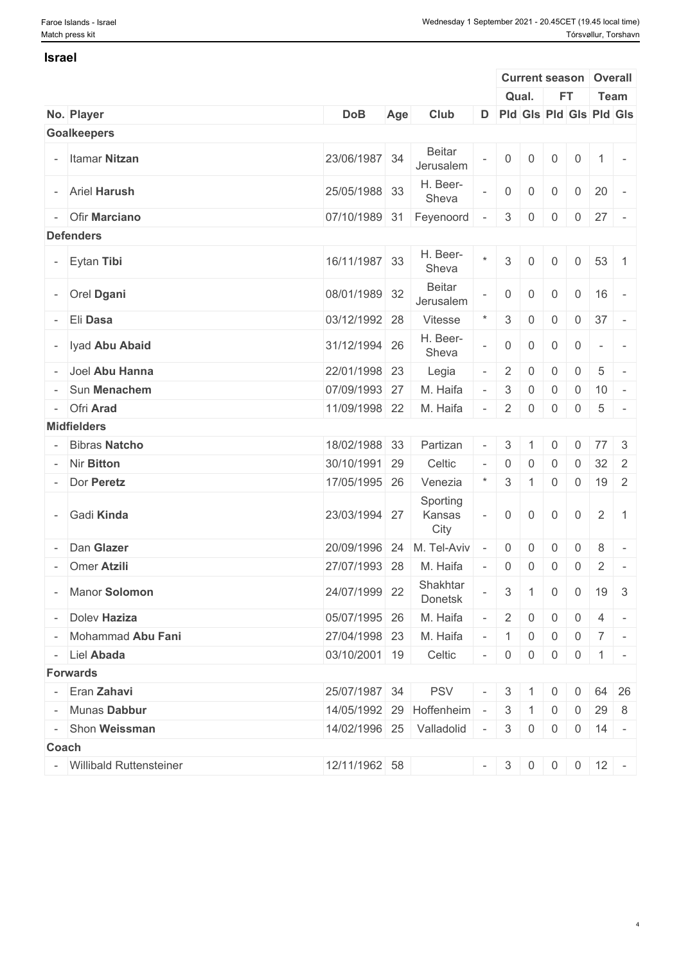#### **Israel**

|                          |                           |               |     |                            |                                       |                | <b>Current season Overall</b> |                    |                 |                |
|--------------------------|---------------------------|---------------|-----|----------------------------|---------------------------------------|----------------|-------------------------------|--------------------|-----------------|----------------|
|                          |                           |               |     |                            | Qual.                                 |                | <b>FT</b>                     |                    | Team            |                |
|                          | No. Player                | <b>DoB</b>    | Age | Club                       | D   Pld   Gls   Pld   Gls   Pld   Gls |                |                               |                    |                 |                |
|                          | <b>Goalkeepers</b>        |               |     |                            |                                       |                |                               |                    |                 |                |
|                          | - Itamar Nitzan           | 23/06/1987 34 |     | <b>Beitar</b><br>Jerusalem | $\mathsf{O}\xspace$                   | $\mathbf 0$    | $\mathbf 0$                   | $\overline{0}$     | -1              |                |
|                          | - Ariel Harush            | 25/05/1988 33 |     | H. Beer-<br>Sheva          | $\overline{0}$                        | $\overline{0}$ | $\overline{0}$                | $\overline{0}$     | 20              | $\sim$         |
|                          | - Ofir Marciano           | 07/10/1989 31 |     | Feyenoord                  | 3 <sup>1</sup>                        | $\overline{0}$ | 0                             | $0 \mid 27 \mid -$ |                 |                |
|                          | <b>Defenders</b>          |               |     |                            |                                       |                |                               |                    |                 |                |
|                          | Eytan Tibi                | 16/11/1987 33 |     | H. Beer-<br>Sheva          | 3                                     | $\Omega$       | $\overline{0}$                | $0 \mid 53 \mid$   |                 |                |
|                          | - Orel Dgani              | 08/01/1989 32 |     | <b>Beitar</b><br>Jerusalem | $\overline{0}$                        | $\overline{0}$ | $\overline{0}$                | $\overline{0}$     | 16              | $\sim$         |
|                          | Eli Dasa                  | 03/12/1992 28 |     | Vitesse                    | 3                                     | 0              | $\overline{0}$                | $\overline{0}$     | 37              |                |
|                          | - Iyad Abu Abaid          | 31/12/1994 26 |     | H. Beer-<br>Sheva          | $\mathsf{O}\xspace$                   | $\overline{0}$ | $\overline{0}$                | $\overline{0}$     | $\sim$          | $\sim$         |
|                          | - Joel Abu Hanna          | 22/01/1998 23 |     | Legia                      | $\overline{2}$                        | $\mathbf 0$    | 0                             | $\overline{0}$     | $5\phantom{.0}$ | $\sim$         |
|                          | - Sun Menachem            | 07/09/1993 27 |     | M. Haifa                   | 3                                     | 0              | 0                             | $\overline{0}$     | 10              | $\sim$         |
|                          | - Ofri Arad               | 11/09/1998 22 |     | M. Haifa                   | $\overline{2}$                        | $\overline{0}$ | $\overline{0}$                | $\overline{0}$     | $5\overline{)}$ | $\sim$         |
|                          | <b>Midfielders</b>        |               |     |                            |                                       |                |                               |                    |                 |                |
|                          | <b>Bibras Natcho</b>      | 18/02/1988 33 |     | Partizan                   | 3                                     |                | 0                             | 0                  | 77 3            |                |
|                          | - Nir Bitton              | 30/10/1991 29 |     | Celtic                     | $\overline{0}$                        | 0              | 0                             | 0                  | $32 \quad 2$    |                |
|                          | - Dor Peretz              | 17/05/1995 26 |     | Venezia                    | 3                                     | -1.            | $\overline{0}$                | $\overline{0}$     | $19$ 2          |                |
|                          | - Gadi Kinda              | 23/03/1994 27 |     | Sporting<br>Kansas<br>City | $\overline{0}$                        | $\overline{0}$ | $\mathsf{O}$                  | $\overline{0}$     | $\overline{2}$  | $\overline{1}$ |
| $\overline{\phantom{a}}$ | Dan Glazer                | 20/09/1996 24 |     | M. Tel-Aviv                | $\overline{0}$                        | $\overline{0}$ | 0                             | $\mathbf 0$        | 8               | $\sim$         |
|                          | - Omer Atzili             | 27/07/1993 28 |     | M. Haifa                   | $\overline{0}$                        | $\overline{0}$ | $\overline{0}$                | $\overline{0}$     | $\overline{2}$  | $\sim$ $-$     |
|                          | - Manor Solomon           | 24/07/1999 22 |     | Shakhtar<br>Donetsk        | 3                                     |                | 0                             | $\mathbf 0$        | $19 \mid 3$     |                |
|                          | - Dolev Haziza            | 05/07/1995 26 |     | M. Haifa                   | $2^{\circ}$                           | $\overline{0}$ | $\overline{0}$                | $\overline{0}$     | $4 -$           |                |
|                          | - Mohammad Abu Fani       | 27/04/1998 23 |     | M. Haifa                   | $\overline{1}$                        | $\overline{0}$ | $\overline{0}$                | $\overline{0}$     | $7 -$           |                |
|                          | - Liel Abada              | 03/10/2001 19 |     | Celtic                     | $- 0 0 0$                             |                |                               | $0 \mid 1 \mid -$  |                 |                |
|                          | <b>Forwards</b>           |               |     |                            |                                       |                |                               |                    |                 |                |
|                          | - Eran Zahavi             | 25/07/1987 34 |     | <b>PSV</b>                 | 3                                     | -1             | $\overline{0}$                | $\overline{0}$     | 64 26           |                |
|                          | - Munas Dabbur            |               |     | 14/05/1992 29 Hoffenheim   | 3                                     | $\overline{1}$ | $\overline{0}$                | $\overline{0}$     | 29 8            |                |
|                          | - Shon Weissman           | 14/02/1996 25 |     | Valladolid                 | 3 <sup>1</sup>                        | $\overline{0}$ | $\overline{0}$                | $0 \mid 14 \mid -$ |                 |                |
|                          | Coach                     |               |     |                            |                                       |                |                               |                    |                 |                |
|                          | - Willibald Ruttensteiner | 12/11/1962 58 |     |                            | $-$ 3 0 0 0 12 -                      |                |                               |                    |                 |                |
|                          |                           |               |     |                            |                                       |                |                               |                    |                 |                |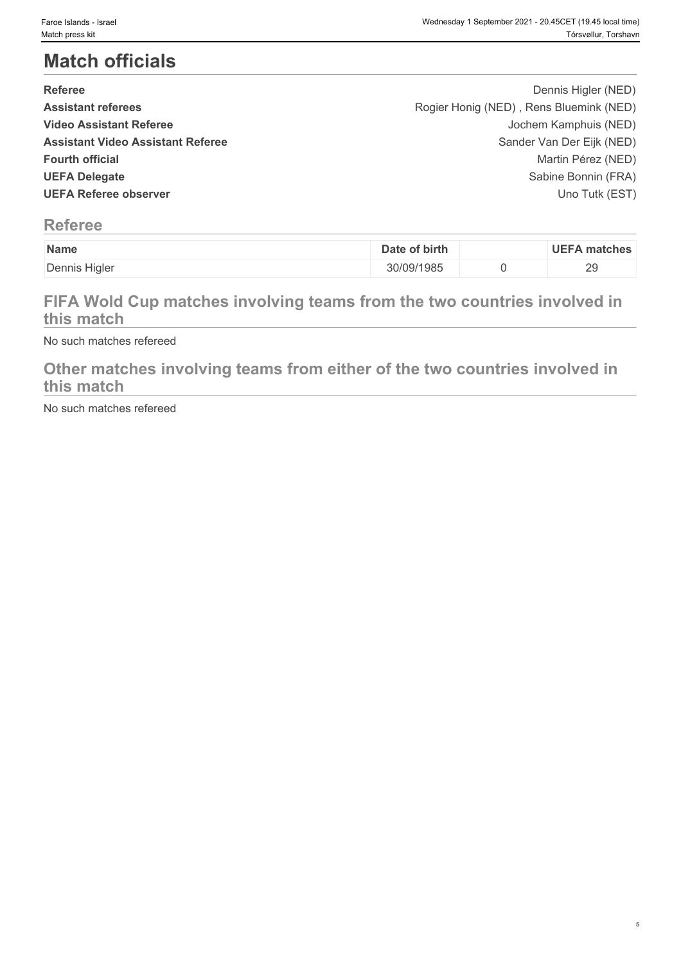# **Match officials**

| <b>Referee</b>                           | Dennis Higler (NED)                     |  |
|------------------------------------------|-----------------------------------------|--|
| <b>Assistant referees</b>                | Rogier Honig (NED), Rens Bluemink (NED) |  |
| <b>Video Assistant Referee</b>           | Jochem Kamphuis (NED)                   |  |
| <b>Assistant Video Assistant Referee</b> | Sander Van Der Eijk (NED)               |  |
| <b>Fourth official</b>                   | Martin Pérez (NED)                      |  |
| <b>UEFA Delegate</b>                     | Sabine Bonnin (FRA)                     |  |
| <b>UEFA Referee observer</b>             | Uno Tutk (EST)                          |  |
|                                          |                                         |  |

### **Referee**

| Name          | Date of birth | <b>UEFA matches</b> |
|---------------|---------------|---------------------|
| Dennis Higler | 30/09/1985    | 20<br>∼             |

### **FIFA Wold Cup matches involving teams from the two countries involved in this match**

No such matches refereed

### **Other matches involving teams from either of the two countries involved in this match**

No such matches refereed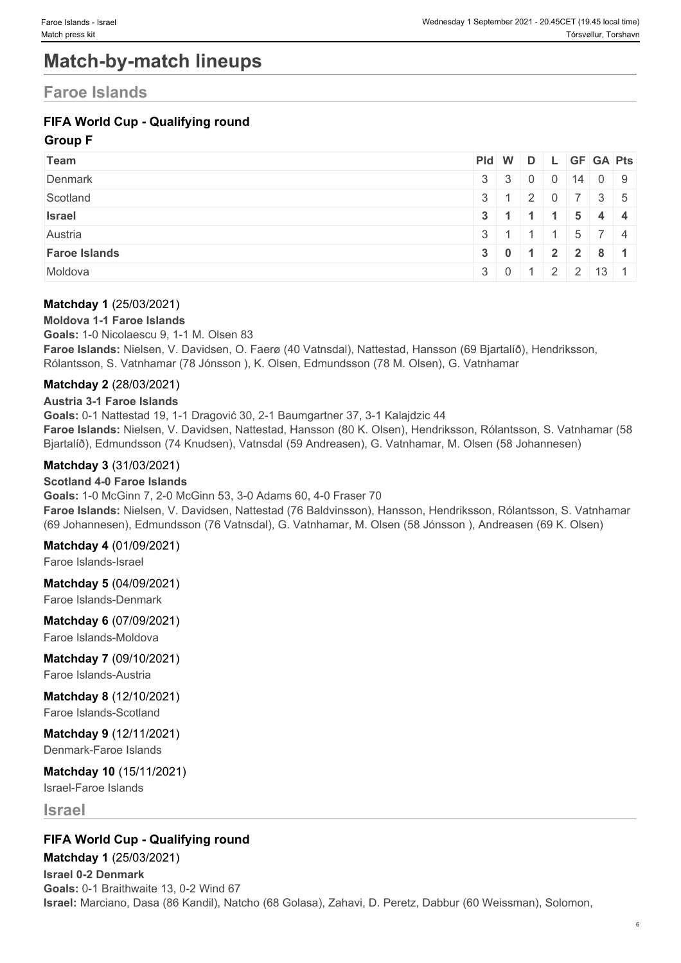# **Match-by-match lineups**

### **Faroe Islands**

### **FIFA World Cup - Qualifying round**

#### **Group F**

| Team                 | Pid W D L GF GA Pts |                                                |                  |                                                                    |  |
|----------------------|---------------------|------------------------------------------------|------------------|--------------------------------------------------------------------|--|
| Denmark              |                     | $3 \mid 3 \mid 0 \mid 0 \mid 14 \mid 0 \mid 9$ |                  |                                                                    |  |
| Scotland             |                     | $3 \mid 1 \mid 2 \mid 0 \mid 7 \mid 3 \mid 5$  |                  |                                                                    |  |
| Israel               |                     | $3 \mid 1$                                     |                  | $5 \mid 4 \mid 4$                                                  |  |
| Austria              |                     | $3 \mid 1$                                     | $\blacksquare$ 1 | $5 \mid 7 \mid 4$                                                  |  |
| <b>Faroe Islands</b> |                     | 3   0   1   2   2   8   1                      |                  |                                                                    |  |
| Moldova              |                     | $\overline{0}$                                 |                  | $\begin{array}{c c c c c c c c} \hline 2 & 2 & 13 & 1 \end{array}$ |  |

#### **Matchday 1** (25/03/2021)

**Moldova 1-1 Faroe Islands Goals:** 1-0 Nicolaescu 9, 1-1 M. Olsen 83 **Faroe Islands:** Nielsen, V. Davidsen, O. Faerø (40 Vatnsdal), Nattestad, Hansson (69 Bjartalíð), Hendriksson, Rólantsson, S. Vatnhamar (78 Jónsson ), K. Olsen, Edmundsson (78 M. Olsen), G. Vatnhamar

#### **Matchday 2** (28/03/2021)

#### **Austria 3-1 Faroe Islands**

**Goals:** 0-1 Nattestad 19, 1-1 Dragović 30, 2-1 Baumgartner 37, 3-1 Kalajdzic 44 **Faroe Islands:** Nielsen, V. Davidsen, Nattestad, Hansson (80 K. Olsen), Hendriksson, Rólantsson, S. Vatnhamar (58 Bjartalíð), Edmundsson (74 Knudsen), Vatnsdal (59 Andreasen), G. Vatnhamar, M. Olsen (58 Johannesen)

#### **Matchday 3** (31/03/2021)

#### **Scotland 4-0 Faroe Islands**

**Goals:** 1-0 McGinn 7, 2-0 McGinn 53, 3-0 Adams 60, 4-0 Fraser 70 **Faroe Islands:** Nielsen, V. Davidsen, Nattestad (76 Baldvinsson), Hansson, Hendriksson, Rólantsson, S. Vatnhamar (69 Johannesen), Edmundsson (76 Vatnsdal), G. Vatnhamar, M. Olsen (58 Jónsson ), Andreasen (69 K. Olsen)

#### **Matchday 4** (01/09/2021)

Faroe Islands-Israel

#### **Matchday 5** (04/09/2021)

Faroe Islands-Denmark

**Matchday 6** (07/09/2021)

Faroe Islands-Moldova

### **Matchday 7** (09/10/2021)

Faroe Islands-Austria

#### **Matchday 8** (12/10/2021) Faroe Islands-Scotland

#### **Matchday 9** (12/11/2021) Denmark-Faroe Islands

### **Matchday 10** (15/11/2021)

Israel-Faroe Islands

#### **Israel**

#### **FIFA World Cup - Qualifying round**

**Matchday 1** (25/03/2021) **Israel 0-2 Denmark Goals:** 0-1 Braithwaite 13, 0-2 Wind 67 **Israel:** Marciano, Dasa (86 Kandil), Natcho (68 Golasa), Zahavi, D. Peretz, Dabbur (60 Weissman), Solomon,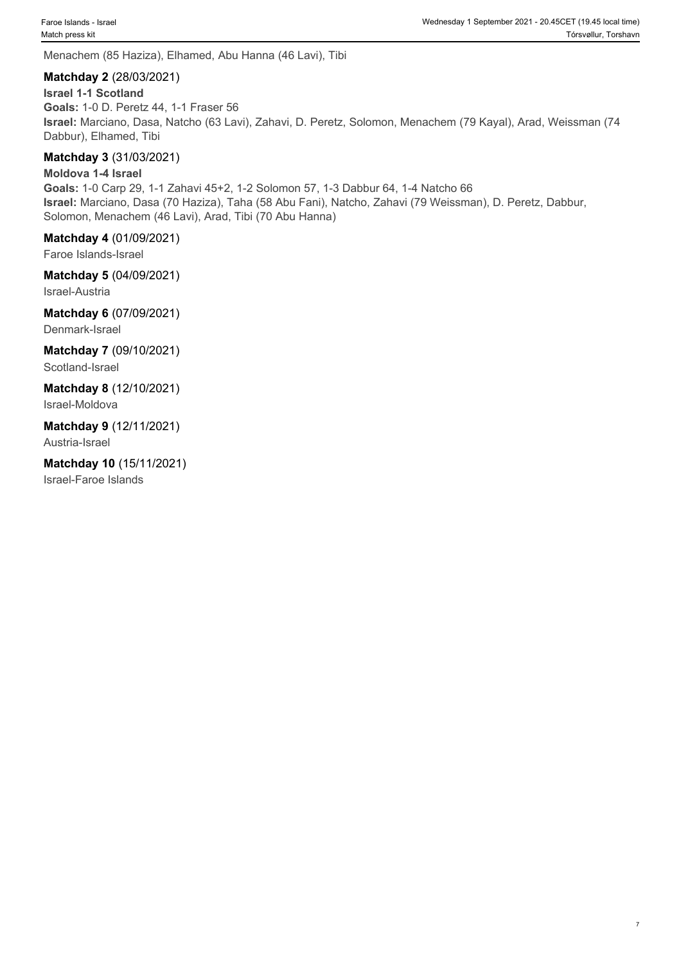Menachem (85 Haziza), Elhamed, Abu Hanna (46 Lavi), Tibi

#### **Matchday 2** (28/03/2021)

**Israel 1-1 Scotland Goals:** 1-0 D. Peretz 44, 1-1 Fraser 56 **Israel:** Marciano, Dasa, Natcho (63 Lavi), Zahavi, D. Peretz, Solomon, Menachem (79 Kayal), Arad, Weissman (74 Dabbur), Elhamed, Tibi

#### **Matchday 3** (31/03/2021)

**Moldova 1-4 Israel Goals:** 1-0 Carp 29, 1-1 Zahavi 45+2, 1-2 Solomon 57, 1-3 Dabbur 64, 1-4 Natcho 66 **Israel:** Marciano, Dasa (70 Haziza), Taha (58 Abu Fani), Natcho, Zahavi (79 Weissman), D. Peretz, Dabbur, Solomon, Menachem (46 Lavi), Arad, Tibi (70 Abu Hanna)

#### **Matchday 4** (01/09/2021)

Faroe Islands-Israel

**Matchday 5** (04/09/2021)

Israel-Austria

**Matchday 6** (07/09/2021) Denmark-Israel

**Matchday 7** (09/10/2021) Scotland-Israel

**Matchday 8** (12/10/2021) Israel-Moldova

**Matchday 9** (12/11/2021) Austria-Israel

**Matchday 10** (15/11/2021) Israel-Faroe Islands